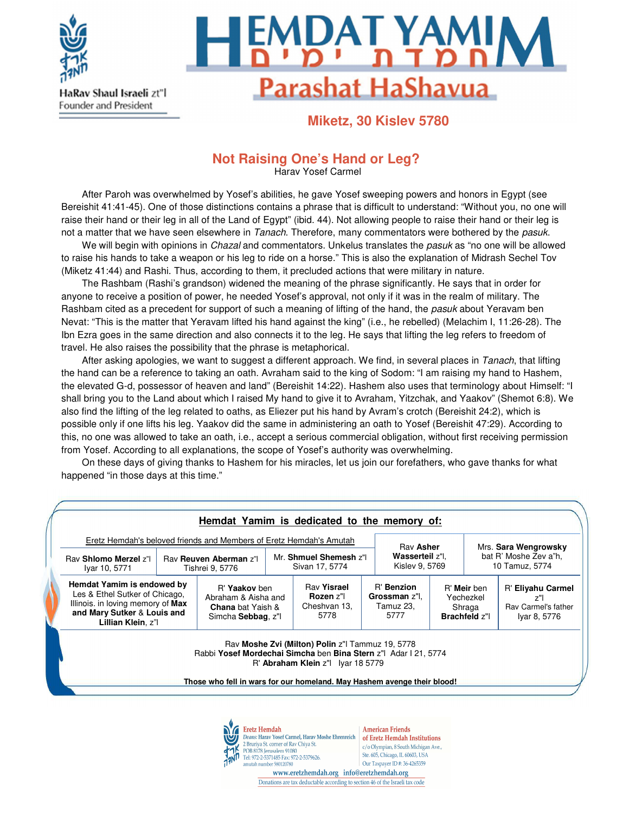

HaRav Shaul Israeli zt"l **Founder and President** 



**Miketz, 30 Kislev 5780**

# **Not Raising One's Hand or Leg?**

Harav Yosef Carmel

After Paroh was overwhelmed by Yosef's abilities, he gave Yosef sweeping powers and honors in Egypt (see Bereishit 41:41-45). One of those distinctions contains a phrase that is difficult to understand: "Without you, no one will raise their hand or their leg in all of the Land of Egypt" (ibid. 44). Not allowing people to raise their hand or their leg is not a matter that we have seen elsewhere in Tanach. Therefore, many commentators were bothered by the pasuk.

We will begin with opinions in Chazal and commentators. Unkelus translates the pasuk as "no one will be allowed to raise his hands to take a weapon or his leg to ride on a horse." This is also the explanation of Midrash Sechel Tov (Miketz 41:44) and Rashi. Thus, according to them, it precluded actions that were military in nature.

The Rashbam (Rashi's grandson) widened the meaning of the phrase significantly. He says that in order for anyone to receive a position of power, he needed Yosef's approval, not only if it was in the realm of military. The Rashbam cited as a precedent for support of such a meaning of lifting of the hand, the pasuk about Yeravam ben Nevat: "This is the matter that Yeravam lifted his hand against the king" (i.e., he rebelled) (Melachim I, 11:26-28). The Ibn Ezra goes in the same direction and also connects it to the leg. He says that lifting the leg refers to freedom of travel. He also raises the possibility that the phrase is metaphorical.

After asking apologies, we want to suggest a different approach. We find, in several places in Tanach, that lifting the hand can be a reference to taking an oath. Avraham said to the king of Sodom: "I am raising my hand to Hashem, the elevated G-d, possessor of heaven and land" (Bereishit 14:22). Hashem also uses that terminology about Himself: "I shall bring you to the Land about which I raised My hand to give it to Avraham, Yitzchak, and Yaakov" (Shemot 6:8). We also find the lifting of the leg related to oaths, as Eliezer put his hand by Avram's crotch (Bereishit 24:2), which is possible only if one lifts his leg. Yaakov did the same in administering an oath to Yosef (Bereishit 47:29). According to this, no one was allowed to take an oath, i.e., accept a serious commercial obligation, without first receiving permission from Yosef. According to all explanations, the scope of Yosef's authority was overwhelming.

On these days of giving thanks to Hashem for his miracles, let us join our forefathers, who gave thanks for what happened "in those days at this time."

|                                                                                                                                                        |                                          |                                                                                        |                                         | Hemdat Yamim is dedicated to the memory of:                                                                                                                                                                                         |                                                  |                                   |                                                            |                                         |                                                                |
|--------------------------------------------------------------------------------------------------------------------------------------------------------|------------------------------------------|----------------------------------------------------------------------------------------|-----------------------------------------|-------------------------------------------------------------------------------------------------------------------------------------------------------------------------------------------------------------------------------------|--------------------------------------------------|-----------------------------------|------------------------------------------------------------|-----------------------------------------|----------------------------------------------------------------|
| Eretz Hemdah's beloved friends and Members of Eretz Hemdah's Amutah                                                                                    |                                          |                                                                                        |                                         |                                                                                                                                                                                                                                     |                                                  | Rav Asher                         |                                                            | Mrs. Sara Wengrowsky                    |                                                                |
| Ray Shlomo Merzel z"<br>Iyar 10, 5771                                                                                                                  | Rav Reuven Aberman z"<br>Tishrei 9, 5776 |                                                                                        | Mr. Shmuel Shemesh z"<br>Sivan 17, 5774 |                                                                                                                                                                                                                                     |                                                  | Wasserteil z'l.<br>Kislev 9, 5769 |                                                            | bat R' Moshe Zev a"h.<br>10 Tamuz, 5774 |                                                                |
| Hemdat Yamim is endowed by<br>Les & Ethel Sutker of Chicago,<br>Illinois. in loving memory of Max<br>and Mary Sutker & Louis and<br>Lillian Klein, z"l |                                          | R' Yaakov ben<br>Abraham & Aisha and<br><b>Chana</b> bat Yaish &<br>Simcha Sebbag, z"l |                                         | Rav Yisrael<br><b>Rozen</b> z"<br>Cheshvan 13,<br>5778                                                                                                                                                                              | R' Benzion<br>Grossman z"l.<br>Tamuz 23.<br>5777 |                                   | R' Meir ben<br>Yechezkel<br>Shraga<br><b>Brachfeld z"I</b> |                                         | R' Eliyahu Carmel<br>7"<br>Ray Carmel's father<br>Iyar 8, 5776 |
|                                                                                                                                                        |                                          |                                                                                        |                                         | Rav Moshe Zvi (Milton) Polin z"  Tammuz 19, 5778<br>Rabbi Yosef Mordechai Simcha ben Bina Stern z"  Adar   21, 5774<br>R' Abraham Klein z"  Iyar 18 5779<br>Those who fell in wars for our homeland. May Hashem avenge their blood! |                                                  |                                   |                                                            |                                         |                                                                |



**American Friends** of Eretz Hemdah Institutions c/o Olympian, 8 South Michigan Ave., Ste. 605, Chicago, IL 60603, USA Our Taxpayer ID#: 36-4265359

www.eretzhemdah.org info@eretzhemdah.org Donations are tax deductable according to section 46 of the Israeli tax code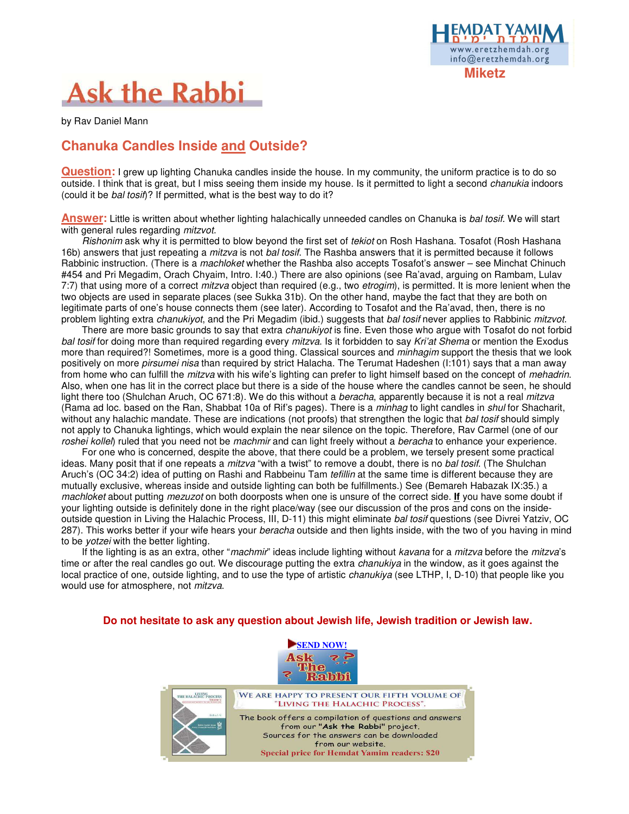

# **Ask the Rabbi**

by Rav Daniel Mann

# **Chanuka Candles Inside and Outside?**

**Question:** I grew up lighting Chanuka candles inside the house. In my community, the uniform practice is to do so outside. I think that is great, but I miss seeing them inside my house. Is it permitted to light a second *chanukia* indoors (could it be bal tosif)? If permitted, what is the best way to do it?

**Answer:** Little is written about whether lighting halachically unneeded candles on Chanuka is bal tosif. We will start with general rules regarding *mitzvot*.

Rishonim ask why it is permitted to blow beyond the first set of tekiot on Rosh Hashana. Tosafot (Rosh Hashana 16b) answers that just repeating a *mitzva* is not *bal tosif*. The Rashba answers that it is permitted because it follows Rabbinic instruction. (There is a *machloket* whether the Rashba also accepts Tosafot's answer – see Minchat Chinuch #454 and Pri Megadim, Orach Chyaim, Intro. I:40.) There are also opinions (see Ra'avad, arguing on Rambam, Lulav 7:7) that using more of a correct *mitzva* object than required (e.g., two *etrogim*), is permitted. It is more lenient when the two objects are used in separate places (see Sukka 31b). On the other hand, maybe the fact that they are both on legitimate parts of one's house connects them (see later). According to Tosafot and the Ra'avad, then, there is no problem lighting extra *chanukiyot*, and the Pri Megadim (ibid.) suggests that *bal tosif* never applies to Rabbinic mitzvot.

There are more basic grounds to say that extra *chanukiyot* is fine. Even those who argue with Tosafot do not forbid bal tosif for doing more than required regarding every mitzva. Is it forbidden to say Kri'at Shema or mention the Exodus more than required?! Sometimes, more is a good thing. Classical sources and *minhagim* support the thesis that we look positively on more *pirsumei nisa* than required by strict Halacha. The Terumat Hadeshen (1:101) says that a man away from home who can fulfill the *mitzva* with his wife's lighting can prefer to light himself based on the concept of mehadrin. Also, when one has lit in the correct place but there is a side of the house where the candles cannot be seen, he should light there too (Shulchan Aruch, OC 671:8). We do this without a *beracha*, apparently because it is not a real *mitzva* (Rama ad loc. based on the Ran, Shabbat 10a of Rif's pages). There is a minhag to light candles in shul for Shacharit, without any halachic mandate. These are indications (not proofs) that strengthen the logic that bal tosif should simply not apply to Chanuka lightings, which would explain the near silence on the topic. Therefore, Rav Carmel (one of our roshei kollel) ruled that you need not be machmir and can light freely without a beracha to enhance your experience.

For one who is concerned, despite the above, that there could be a problem, we tersely present some practical ideas. Many posit that if one repeats a *mitzva* "with a twist" to remove a doubt, there is no bal tosif. (The Shulchan Aruch's (OC 34:2) idea of putting on Rashi and Rabbeinu Tam tefillin at the same time is different because they are mutually exclusive, whereas inside and outside lighting can both be fulfillments.) See (Bemareh Habazak IX:35.) a machloket about putting mezuzot on both doorposts when one is unsure of the correct side. **If** you have some doubt if your lighting outside is definitely done in the right place/way (see our discussion of the pros and cons on the insideoutside question in Living the Halachic Process, III, D-11) this might eliminate bal tosif questions (see Divrei Yatziv, OC 287). This works better if your wife hears your beracha outside and then lights inside, with the two of you having in mind to be yotzei with the better lighting.

If the lighting is as an extra, other "machmir" ideas include lighting without kavana for a mitzva before the mitzva's time or after the real candles go out. We discourage putting the extra *chanukiya* in the window, as it goes against the local practice of one, outside lighting, and to use the type of artistic *chanukiya* (see LTHP, I, D-10) that people like you would use for atmosphere, not mitzva.

#### **Do not hesitate to ask any question about Jewish life, Jewish tradition or Jewish law.**



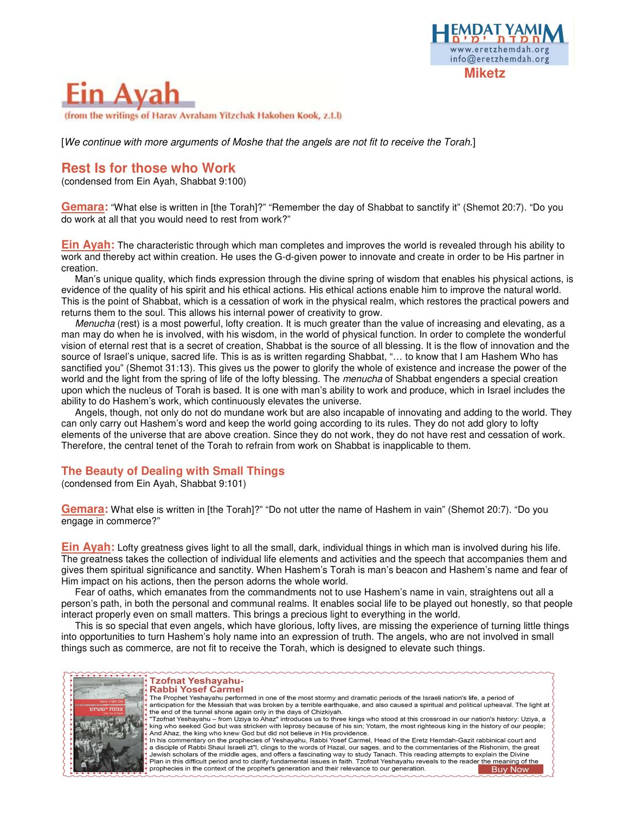



[We continue with more arguments of Moshe that the angels are not fit to receive the Torah.]

# **Rest Is for those who Work**

(condensed from Ein Ayah, Shabbat 9:100)

**Gemara:** "What else is written in [the Torah]?" "Remember the day of Shabbat to sanctify it" (Shemot 20:7). "Do you do work at all that you would need to rest from work?"

**Ein Ayah:** The characteristic through which man completes and improves the world is revealed through his ability to work and thereby act within creation. He uses the G-d-given power to innovate and create in order to be His partner in creation.

Man's unique quality, which finds expression through the divine spring of wisdom that enables his physical actions, is evidence of the quality of his spirit and his ethical actions. His ethical actions enable him to improve the natural world. This is the point of Shabbat, which is a cessation of work in the physical realm, which restores the practical powers and returns them to the soul. This allows his internal power of creativity to grow.

Menucha (rest) is a most powerful, lofty creation. It is much greater than the value of increasing and elevating, as a man may do when he is involved, with his wisdom, in the world of physical function. In order to complete the wonderful vision of eternal rest that is a secret of creation, Shabbat is the source of all blessing. It is the flow of innovation and the source of Israel's unique, sacred life. This is as is written regarding Shabbat, "... to know that I am Hashem Who has sanctified you" (Shemot 31:13). This gives us the power to glorify the whole of existence and increase the power of the world and the light from the spring of life of the lofty blessing. The menucha of Shabbat engenders a special creation upon which the nucleus of Torah is based. It is one with man's ability to work and produce, which in Israel includes the ability to do Hashem's work, which continuously elevates the universe.

Angels, though, not only do not do mundane work but are also incapable of innovating and adding to the world. They can only carry out Hashem's word and keep the world going according to its rules. They do not add glory to lofty elements of the universe that are above creation. Since they do not work, they do not have rest and cessation of work. Therefore, the central tenet of the Torah to refrain from work on Shabbat is inapplicable to them.

#### **The Beauty of Dealing with Small Things**

(condensed from Ein Ayah, Shabbat 9:101)

**Gemara:** What else is written in [the Torah]?" "Do not utter the name of Hashem in vain" (Shemot 20:7). "Do you engage in commerce?"

**Ein Ayah:** Lofty greatness gives light to all the small, dark, individual things in which man is involved during his life. The greatness takes the collection of individual life elements and activities and the speech that accompanies them and gives them spiritual significance and sanctity. When Hashem's Torah is man's beacon and Hashem's name and fear of Him impact on his actions, then the person adorns the whole world.

Fear of oaths, which emanates from the commandments not to use Hashem's name in vain, straightens out all a person's path, in both the personal and communal realms. It enables social life to be played out honestly, so that people interact properly even on small matters. This brings a precious light to everything in the world.

This is so special that even angels, which have glorious, lofty lives, are missing the experience of turning little things into opportunities to turn Hashem's holy name into an expression of truth. The angels, who are not involved in small things such as commerce, are not fit to receive the Torah, which is designed to elevate such things.



#### **Tzofnat Yeshayahu-Rabbi Yosef Carmel**

The Prophet Yeshayahu performed in one of the most stormy and dramatic periods of the Israeli nation's life, a period of anticipation for the Messiah that was broken by a terrible earthquake, and also caused a spiritual and political upheaval. The light at the end of the tunnel shone again only in the days of Chizkiyah. "Tzofnat Yeshayahu – from Uziya to Ahaz" introduces us to three kings who stood at this crossroad in our nation's history: Uziya, a king who seeked God but was stricken with leprosy because of his sin; Yotam, the most righteous king in the history of our people;<br>And Ahaz, the king who knew God but did not believe in His providence. In his commentary on the prophecies of Yeshayahu, Rabbi Yosef Carmel, Head of the Eretz Hemdah-Gazit rabbinical court and a disciple of Rabbi Shaul Israeli zt"I, clings to the words of Hazal, our sages, and to the commentaries of the Rishonim, the great .<br>Jewish scholars of the middle ages, and offers a fascinating way to study Tanach. This reading attempts to explain the Divine Plan in this difficult period and to clarify fundamental issues in faith. Tzofnat Yeshayahu reveals to the reader the meaning of the prophecies in the context of the prophet's generation and their relevance to our generation. **Buy Now**